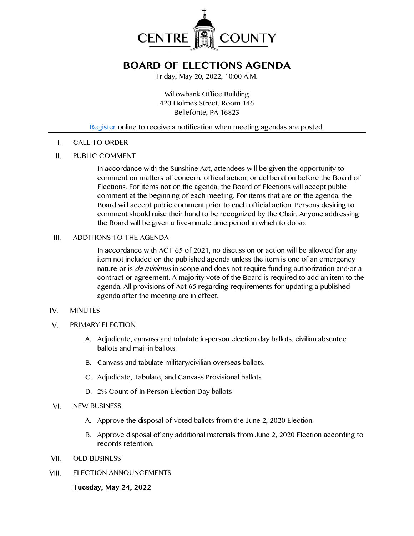

# **BOARD OF ELECTIONS AGENDA**

Friday, May 20, 2022, 10:00 A.M.

Willowbank Office Building 420 Holmes Street, Room 146 Bellefonte, PA 16823

## [Register](http://www.centrecountypa.gov/AgendaCenter) online to receive a notification when meeting agendas are posted.

CALL TO ORDER Ι.

#### Ш. PUBLIC COMMENT

In accordance with the Sunshine Act, attendees will be given the opportunity to comment on matters of concern, official action, or deliberation before the Board of Elections. For items not on the agenda, the Board of Elections will accept public comment at the beginning of each meeting. For items that are on the agenda, the Board will accept public comment prior to each official action. Persons desiring to comment should raise their hand to be recognized by the Chair. Anyone addressing the Board will be given a five-minute time period in which to do so.

#### III. ADDITIONS TO THE AGENDA

In accordance with ACT 65 of 2021, no discussion or action will be allowed for any item not included on the published agenda unless the item is one of an emergency nature or is *de minimus* in scope and does not require funding authorization and/or a contract or agreement. A majority vote of the Board is required to add an item to the agenda. All provisions of Act 65 regarding requirements for updating a published agenda after the meeting are in effect.

#### IV. MINUTES

- $V_{\cdot}$ PRIMARY ELECTION
	- A. Adjudicate, canvass and tabulate in-person election day ballots, civilian absentee ballots and mail-in ballots.
	- B. Canvass and tabulate military/civilian overseas ballots.
	- C. Adjudicate, Tabulate, and Canvass Provisional ballots
	- D. 2% Count of In-Person Election Day ballots
- NEW BUSINESS VI.
	- A. Approve the disposal of voted ballots from the June 2, 2020 Election.
	- B. Approve disposal of any additional materials from June 2, 2020 Election according to records retention.
- VII. OLD BUSINESS
- VIII. ELECTION ANNOUNCEMENTS

### **Tuesday, May 24, 2022**